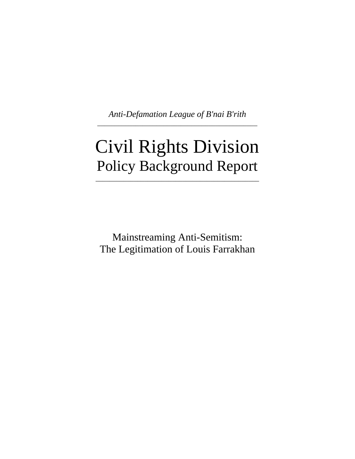*Anti-Defamation League of B'nai B'rith* \_\_\_\_\_\_\_\_\_\_\_\_\_\_\_\_\_\_\_\_\_\_\_\_\_\_\_\_\_\_\_\_\_\_\_\_\_\_\_\_\_\_\_\_\_\_

# Civil Rights Division Policy Background Report

\_\_\_\_\_\_\_\_\_\_\_\_\_\_\_\_\_\_\_\_\_\_\_\_\_\_\_\_\_\_\_\_\_\_\_\_\_\_\_\_\_\_\_\_\_\_\_

Mainstreaming Anti-Semitism: The Legitimation of Louis Farrakhan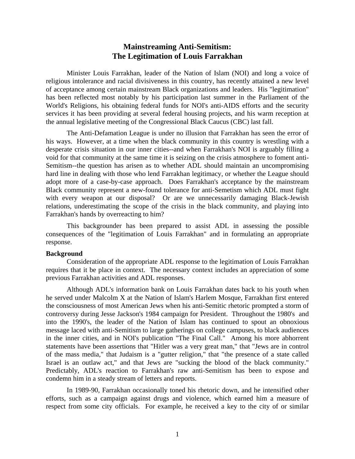# **Mainstreaming Anti-Semitism: The Legitimation of Louis Farrakhan**

 Minister Louis Farrakhan, leader of the Nation of Islam (NOI) and long a voice of religious intolerance and racial divisiveness in this country, has recently attained a new level of acceptance among certain mainstream Black organizations and leaders. His "legitimation" has been reflected most notably by his participation last summer in the Parliament of the World's Religions, his obtaining federal funds for NOI's anti-AIDS efforts and the security services it has been providing at several federal housing projects, and his warm reception at the annual legislative meeting of the Congressional Black Caucus (CBC) last fall.

 The Anti-Defamation League is under no illusion that Farrakhan has seen the error of his ways. However, at a time when the black community in this country is wrestling with a desperate crisis situation in our inner cities--and when Farrakhan's NOI is arguably filling a void for that community at the same time it is seizing on the crisis atmosphere to foment anti-Semitism--the question has arisen as to whether ADL should maintain an uncompromising hard line in dealing with those who lend Farrakhan legitimacy, or whether the League should adopt more of a case-by-case approach. Does Farrakhan's acceptance by the mainstream Black community represent a new-found tolerance for anti-Semetism which ADL must fight with every weapon at our disposal? Or are we unnecessarily damaging Black-Jewish relations, underestimating the scope of the crisis in the black community, and playing into Farrakhan's hands by overreacting to him?

 This backgrounder has been prepared to assist ADL in assessing the possible consequences of the "legitimation of Louis Farrakhan" and in formulating an appropriate response.

#### **Background**

Consideration of the appropriate ADL response to the legitimation of Louis Farrakhan requires that it be place in context. The necessary context includes an appreciation of some previous Farrakhan activities and ADL responses.

 Although ADL's information bank on Louis Farrakhan dates back to his youth when he served under Malcolm X at the Nation of Islam's Harlem Mosque, Farrakhan first entered the consciousness of most American Jews when his anti-Semitic rhetoric prompted a storm of controversy during Jesse Jackson's 1984 campaign for President. Throughout the 1980's and into the 1990's, the leader of the Nation of Islam has continued to spout an obnoxious message laced with anti-Semitism to large gatherings on college campuses, to black audiences in the inner cities, and in NOI's publication "The Final Call." Among his more abhorrent statements have been assertions that "Hitler was a very great man," that "Jews are in control of the mass media," that Judaism is a "gutter religion," that "the presence of a state called Israel is an outlaw act," and that Jews are "sucking the blood of the black community." Predictably, ADL's reaction to Farrakhan's raw anti-Semitism has been to expose and condemn him in a steady stream of letters and reports.

 In 1989-90, Farrakhan occasionally toned his rhetoric down, and he intensified other efforts, such as a campaign against drugs and violence, which earned him a measure of respect from some city officials. For example, he received a key to the city of or similar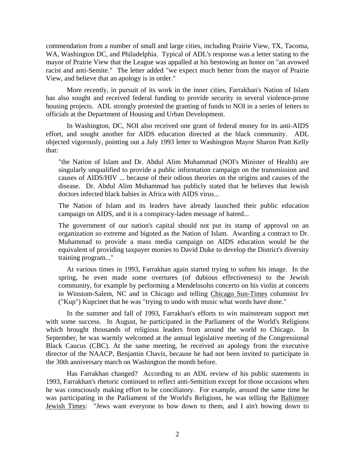commendation from a number of small and large cities, including Prairie View, TX, Tacoma, WA, Washington DC, and Philadelphia. Typical of ADL's response was a letter stating to the mayor of Prairie View that the League was appalled at his bestowing an honor on "an avowed racist and anti-Semite." The letter added "we expect much better from the mayor of Prairie View, and believe that an apology is in order."

 More recently, in pursuit of its work in the inner cities, Farrakhan's Nation of Islam has also sought and received federal funding to provide security in several violence-prone housing projects. ADL strongly protested the granting of funds to NOI in a series of letters to officials at the Department of Housing and Urban Development.

 In Washington, DC, NOI also received one grant of federal money for its anti-AIDS effort, and sought another for AIDS education directed at the black community. ADL objected vigorously, pointing out a July 1993 letter to Washington Mayor Sharon Pratt Kelly that:

"the Nation of Islam and Dr. Abdul Alim Muhammad (NOI's Minister of Health) are singularly unqualified to provide a public information campaign on the transmission and causes of AIDS/HIV ... because of their odious theories on the origins and causes of the disease. Dr. Abdul Alim Muhammad has publicly stated that he believes that Jewish doctors infected black babies in Africa with AIDS virus...

The Nation of Islam and its leaders have already launched their public education campaign on AIDS, and it is a conspiracy-laden message of hatred...

The government of our nation's capital should not put its stamp of approval on an organization so extreme and bigoted as the Nation of Islam. Awarding a contract to Dr. Muhammad to provide a mass media campaign on AIDS education would be the equivalent of providing taxpayer monies to David Duke to develop the District's diversity training program..."

 At various times in 1993, Farrakhan again started trying to soften his image. In the spring, he even made some overtures (of dubious effectiveness) to the Jewish community, for example by performing a Mendelssohn concerto on his violin at concerts in Winstom-Salem, NC and in Chicago and telling Chicago Sun-Times columnist Irv ("Kup") Kupcinet that he was "trying to undo with music what words have done."

 In the summer and fall of 1993, Farrakhan's efforts to win mainstream support met with some success. In August, he participated in the Parliament of the World's Religions which brought thousands of religious leaders from around the world to Chicago. In September, he was warmly welcomed at the annual legislative meeting of the Congressional Black Caucus (CBC). At the same meeting, he received an apology from the executive director of the NAACP, Benjamin Chavis, because he had not been invited to participate in the 30th anniversary march on Washington the month before.

 Has Farrakhan changed? According to an ADL review of his public statements in 1993, Farrakhan's rhetoric continued to reflect anti-Semitism except for those occasions when he was consciously making effort to be conciliatory. For example, around the same time he was participating in the Parliament of the World's Religions, he was telling the Baltimore Jewish Times: "Jews want everyone to bow down to them, and I ain't bowing down to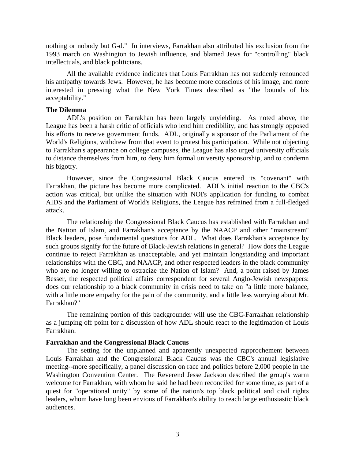nothing or nobody but G-d." In interviews, Farrakhan also attributed his exclusion from the 1993 march on Washington to Jewish influence, and blamed Jews for "controlling" black intellectuals, and black politicians.

 All the available evidence indicates that Louis Farrakhan has not suddenly renounced his antipathy towards Jews. However, he has become more conscious of his image, and more interested in pressing what the New York Times described as "the bounds of his acceptability."

### **The Dilemma**

 ADL's position on Farrakhan has been largely unyielding. As noted above, the League has been a harsh critic of officials who lend him credibility, and has strongly opposed his efforts to receive government funds. ADL, originally a sponsor of the Parliament of the World's Religions, withdrew from that event to protest his participation. While not objecting to Farrakhan's appearance on college campuses, the League has also urged university officials to distance themselves from him, to deny him formal university sponsorship, and to condemn his bigotry.

 However, since the Congressional Black Caucus entered its "covenant" with Farrakhan, the picture has become more complicated. ADL's initial reaction to the CBC's action was critical, but unlike the situation with NOI's application for funding to combat AIDS and the Parliament of World's Religions, the League has refrained from a full-fledged attack.

 The relationship the Congressional Black Caucus has established with Farrakhan and the Nation of Islam, and Farrakhan's acceptance by the NAACP and other "mainstream" Black leaders, pose fundamental questions for ADL. What does Farrakhan's acceptance by such groups signify for the future of Black-Jewish relations in general? How does the League continue to reject Farrakhan as unacceptable, and yet maintain longstanding and important relationships with the CBC, and NAACP, and other respected leaders in the black community who are no longer willing to ostracize the Nation of Islam? And, a point raised by James Besser, the respected political affairs correspondent for several Anglo-Jewish newspapers: does our relationship to a black community in crisis need to take on "a little more balance, with a little more empathy for the pain of the community, and a little less worrying about Mr. Farrakhan?"

 The remaining portion of this backgrounder will use the CBC-Farrakhan relationship as a jumping off point for a discussion of how ADL should react to the legitimation of Louis Farrakhan.

### **Farrakhan and the Congressional Black Caucus**

 The setting for the unplanned and apparently unexpected rapprochement between Louis Farrakhan and the Congressional Black Caucus was the CBC's annual legislative meeting--more specifically, a panel discussion on race and politics before 2,000 people in the Washington Convention Center. The Reverend Jesse Jackson described the group's warm welcome for Farrakhan, with whom he said he had been reconciled for some time, as part of a quest for "operational unity" by some of the nation's top black political and civil rights leaders, whom have long been envious of Farrakhan's ability to reach large enthusiastic black audiences.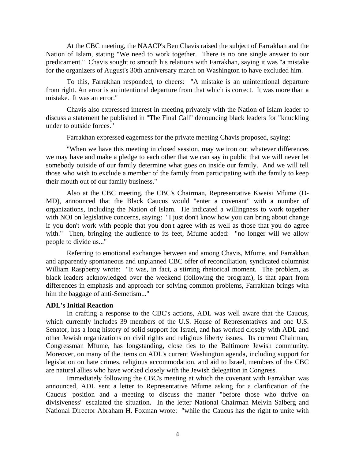At the CBC meeting, the NAACP's Ben Chavis raised the subject of Farrakhan and the Nation of Islam, stating "We need to work together. There is no one single answer to our predicament." Chavis sought to smooth his relations with Farrakhan, saying it was "a mistake for the organizers of August's 30th anniversary march on Washington to have excluded him.

 To this, Farrakhan responded, to cheers: "A mistake is an unintentional departure from right. An error is an intentional departure from that which is correct. It was more than a mistake. It was an error."

 Chavis also expressed interest in meeting privately with the Nation of Islam leader to discuss a statement he published in "The Final Call" denouncing black leaders for "knuckling under to outside forces."

Farrakhan expressed eagerness for the private meeting Chavis proposed, saying:

 "When we have this meeting in closed session, may we iron out whatever differences we may have and make a pledge to each other that we can say in public that we will never let somebody outside of our family determine what goes on inside our family. And we will tell those who wish to exclude a member of the family from participating with the family to keep their mouth out of our family business."

 Also at the CBC meeting, the CBC's Chairman, Representative Kweisi Mfume (D-MD), announced that the Black Caucus would "enter a covenant" with a number of organizations, including the Nation of Islam. He indicated a willingness to work together with NOI on legislative concerns, saying: "I just don't know how you can bring about change if you don't work with people that you don't agree with as well as those that you do agree with." Then, bringing the audience to its feet, Mfume added: "no longer will we allow people to divide us..."

 Referring to emotional exchanges between and among Chavis, Mfume, and Farrakhan and apparently spontaneous and unplanned CBC offer of reconciliation, syndicated columnist William Raspberry wrote: "It was, in fact, a stirring rhetorical moment. The problem, as black leaders acknowledged over the weekend (following the program), is that apart from differences in emphasis and approach for solving common problems, Farrakhan brings with him the baggage of anti-Semetism..."

#### **ADL's Initial Reaction**

 In crafting a response to the CBC's actions, ADL was well aware that the Caucus, which currently includes 39 members of the U.S. House of Representatives and one U.S. Senator, has a long history of solid support for Israel, and has worked closely with ADL and other Jewish organizations on civil rights and religious liberty issues. Its current Chairman, Congressman Mfume, has longstanding, close ties to the Baltimore Jewish community. Moreover, on many of the items on ADL's current Washington agenda, including support for legislation on hate crimes, religious accommodation, and aid to Israel, members of the CBC are natural allies who have worked closely with the Jewish delegation in Congress.

 Immediately following the CBC's meeting at which the covenant with Farrakhan was announced, ADL sent a letter to Representative Mfume asking for a clarification of the Caucus' position and a meeting to discuss the matter "before those who thrive on divisiveness" escalated the situation. In the letter National Chairman Melvin Salberg and National Director Abraham H. Foxman wrote: "while the Caucus has the right to unite with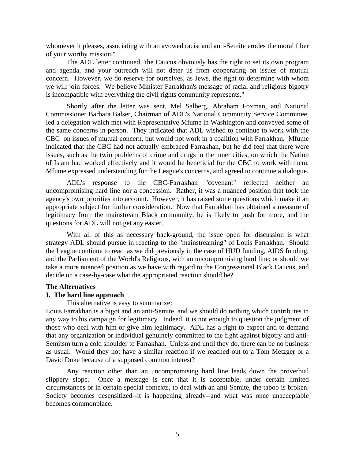whomever it pleases, associating with an avowed racist and anti-Semite erodes the moral fiber of your worthy mission."

 The ADL letter continued "the Caucus obviously has the right to set its own program and agenda, and your outreach will not deter us from cooperating on issues of mutual concern. However, we do reserve for ourselves, as Jews, the right to determine with whom we will join forces. We believe Minister Farrakhan's message of racial and religious bigotry is incompatible with everything the civil rights community represents."

 Shortly after the letter was sent, Mel Salberg, Abraham Foxman, and National Commissioner Barbara Balser, Chairman of ADL's National Community Service Committee, led a delegation which met with Representative Mfume in Washington and conveyed some of the same concerns in person. They indicated that ADL wished to continue to work with the CBC on issues of mutual concern, but would not work in a coalition with Farrakhan. Mfume indicated that the CBC had not actually embraced Farrakhan, but he did feel that there were issues, such as the twin problems of crime and drugs in the inner cities, on which the Nation of Islam had worked effectively and it would be beneficial for the CBC to work with them. Mfume expressed understanding for the League's concerns, and agreed to continue a dialogue.

 ADL's response to the CBC-Farrakhan "covenant" reflected neither an uncompromising hard line nor a concession. Rather, it was a nuanced position that took the agency's own priorities into account. However, it has raised some questions which make it an appropriate subject for further consideration. Now that Farrakhan has obtained a measure of legitimacy from the mainstream Black community, he is likely to push for more, and the questions for ADL will not get any easier.

 With all of this as necessary back-ground, the issue open for discussion is what strategy ADL should pursue in reacting to the "mainstreaming" of Louis Farrakhan. Should the League continue to react as we did previously in the case of HUD funding, AIDS funding, and the Parliament of the World's Religions, with an uncompromising hard line; or should we take a more nuanced position as we have with regard to the Congressional Black Caucus, and decide on a case-by-case what the appropriated reaction should be?

### **The Alternatives**

## **I. The hard line approach**

This alternative is easy to summarize:

Louis Farrakhan is a bigot and an anti-Semite, and we should do nothing which contributes in any way to his campaign for legitimacy. Indeed, it is not enough to question the judgment of those who deal with him or give him legitimacy. ADL has a right to expect and to demand that any organization or individual genuinely committed to the fight against bigotry and anti-Semitsm turn a cold shoulder to Farrakhan. Unless and until they do, there can be no business as usual. Would they not have a similar reaction if we reached out to a Tom Metzger or a David Duke because of a supposed common interest?

 Any reaction other than an uncompromising hard line leads down the proverbial slippery slope. Once a message is sent that it is acceptable, under certain limited circumstances or in certain special contexts, to deal with an anti-Semite, the taboo is broken. Society becomes desensitized--it is happening already--and what was once unacceptable becomes commonplace.